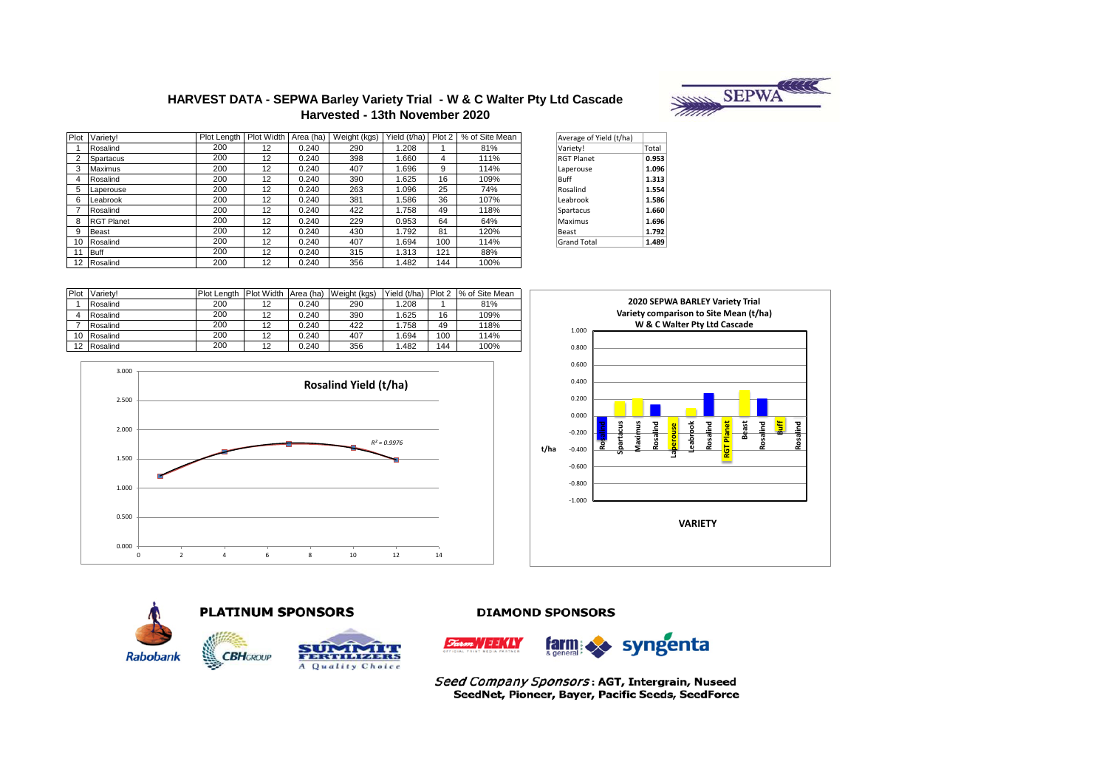# **HARVEST DATA - SEPWA Barley Variety Trial - W & C Walter Pty Ltd Cascade Harvested - 13th November 2020**



| Average of Yield (t/ha) |       |
|-------------------------|-------|
| Variety!                | Total |
| <b>RGT Planet</b>       | 0.953 |
| Laperouse               | 1.096 |
| <b>Ruff</b>             | 1.313 |
| Rosalind                | 1.554 |
| Leabrook                | 1.586 |
| Spartacus               | 1.660 |
| Maximus                 | 1.696 |
| Beast                   | 1.792 |
| <b>Grand Total</b>      | 1.489 |

| Plot | Variety! | <b>Plot Lenath</b> | Plot Width Area (ha) |       | Weight (kgs) | Yield (t/ha) Plot 2 |     | % of Site Mean |
|------|----------|--------------------|----------------------|-------|--------------|---------------------|-----|----------------|
|      | Rosalind | 200                | 12                   | 0.240 | 290          | 1.208               |     | 81%            |
| Δ    | Rosalind | 200                | 12                   | 0.240 | 390          | .625                | 16  | 109%           |
|      | Rosalind | 200                | 12                   | 0.240 | 422          | .758                | 49  | 118%           |
| 10   | Rosalind | 200                | 12                   | 0.240 | 407          | .694                | 100 | 114%           |
| 12   | Rosalind | 200                | 12                   | 0.240 | 356          | 1.482               | 144 | 100%           |









**DIAMOND SPONSORS** 



Seed Company Sponsors: AGT, Intergrain, Nuseed SeedNet, Pioneer, Bayer, Pacific Seeds, SeedForce

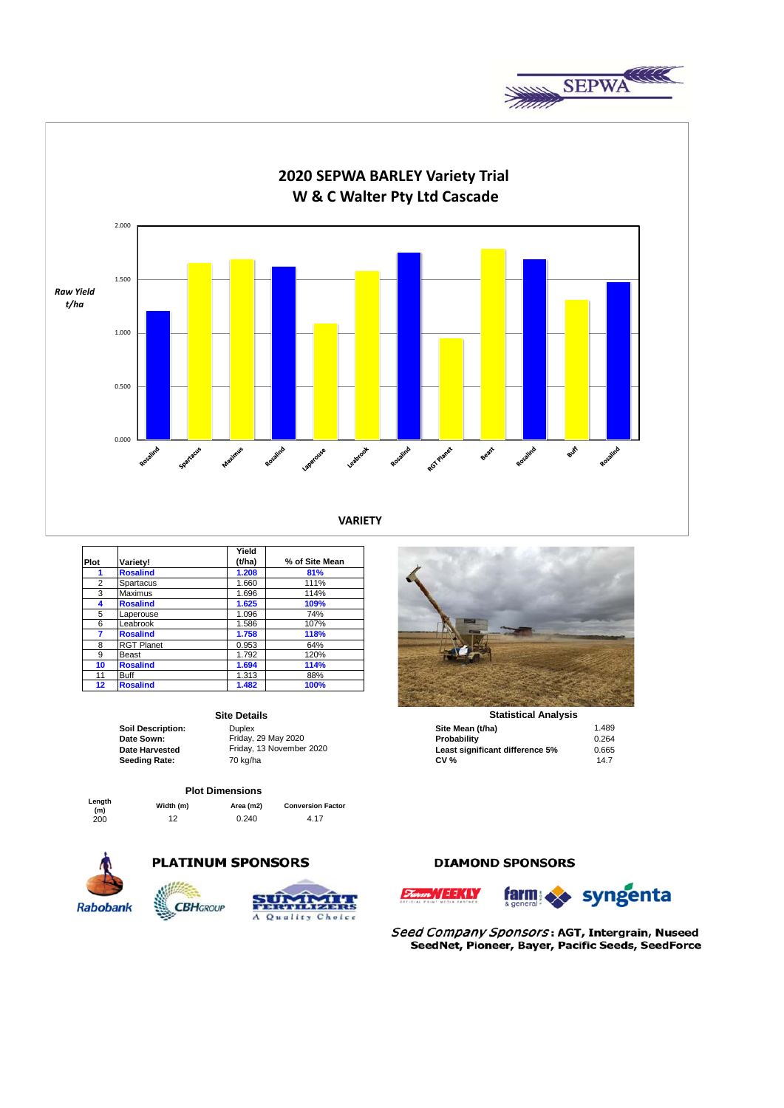



|                |                   | Yield  |                |
|----------------|-------------------|--------|----------------|
| Plot           | Variety!          | (t/ha) | % of Site Mean |
| 1              | <b>Rosalind</b>   | 1.208  | 81%            |
| $\overline{2}$ | Spartacus         | 1.660  | 111%           |
| 3              | Maximus           | 1.696  | 114%           |
| 4              | <b>Rosalind</b>   | 1.625  | 109%           |
| 5              | Laperouse         | 1.096  | 74%            |
| 6              | Leabrook          | 1.586  | 107%           |
| 7              | <b>Rosalind</b>   | 1.758  | 118%           |
| 8              | <b>RGT Planet</b> | 0.953  | 64%            |
| 9              | Beast             | 1.792  | 120%           |
| 10             | <b>Rosalind</b>   | 1.694  | 114%           |
| 11             | <b>Buff</b>       | 1.313  | 88%            |
| 12             | <b>Rosalind</b>   | 1.482  | 100%           |

### **Site Details**

**Plot Dimensions**

**Length** 

**(m) Width (m) Area (m2) Conversion Factor**  $0.240$ 



# **PLATINUM SPONSORS**

**CBH**GROUP



# **Statistical Analysis**

| <b>UILE DELAIIS</b>      |                          | olulistivai Anarvsis            |       |  |  |
|--------------------------|--------------------------|---------------------------------|-------|--|--|
| <b>Soil Description:</b> | Duplex                   | Site Mean (t/ha)                | 1.489 |  |  |
| Date Sown:               | Friday, 29 May 2020      | Probability                     | 0.264 |  |  |
| <b>Date Harvested</b>    | Friday, 13 November 2020 | Least significant difference 5% | 0.665 |  |  |
| Seeding Rate:            | 70 ka/ha                 | <b>CV %</b>                     | 14.7  |  |  |

# **DIAMOND SPONSORS**



Seed Company Sponsors: AGT, Intergrain, Nuseed SeedNet, Pioneer, Bayer, Pacific Seeds, SeedForce